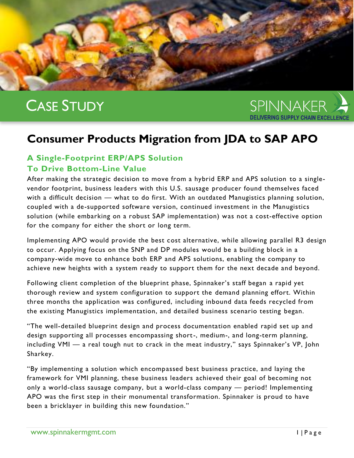# CASE STUDY



# **Consumer Products Migration from JDA to SAP APO**

## **A Single-Footprint ERP/APS Solution To Drive Bottom-Line Value**

After making the strategic decision to move from a hybrid ERP and APS solution to a singlevendor footprint, business leaders with this U.S. sausage producer found themselves faced with a difficult decision — what to do first. With an outdated Manugistics planning solution, coupled with a de-supported software version, continued investment in the Manugistics solution (while embarking on a robust SAP implementation) was not a cost-effective option for the company for either the short or long term.

Implementing APO would provide the best cost alternative, while allowing parallel R3 design to occur. Applying focus on the SNP and DP modules would be a building block in a company-wide move to enhance both ERP and APS solutions, enabling the company to achieve new heights with a system ready to support them for the next decade and beyond.

Following client completion of the blueprint phase, Spinnaker's staff began a rapid yet thorough review and system configuration to support the demand planning effort. Within three months the application was configured, including inbound data feeds recycled from the existing Manugistics implementation, and detailed business scenario testing began.

"The well-detailed blueprint design and process documentation enabled rapid set up and design supporting all processes encompassing short-, medium-, and long-term planning, including VMI — a real tough nut to crack in the meat industry," says Spinnaker's VP, John Sharkey.

"By implementing a solution which encompassed best business practice, and laying the framework for VMI planning, these business leaders achieved their goal of becoming not only a world-class sausage company, but a world-class company — period! Implementing APO was the first step in their monumental transformation. Spinnaker is proud to have been a bricklayer in building this new foundation."